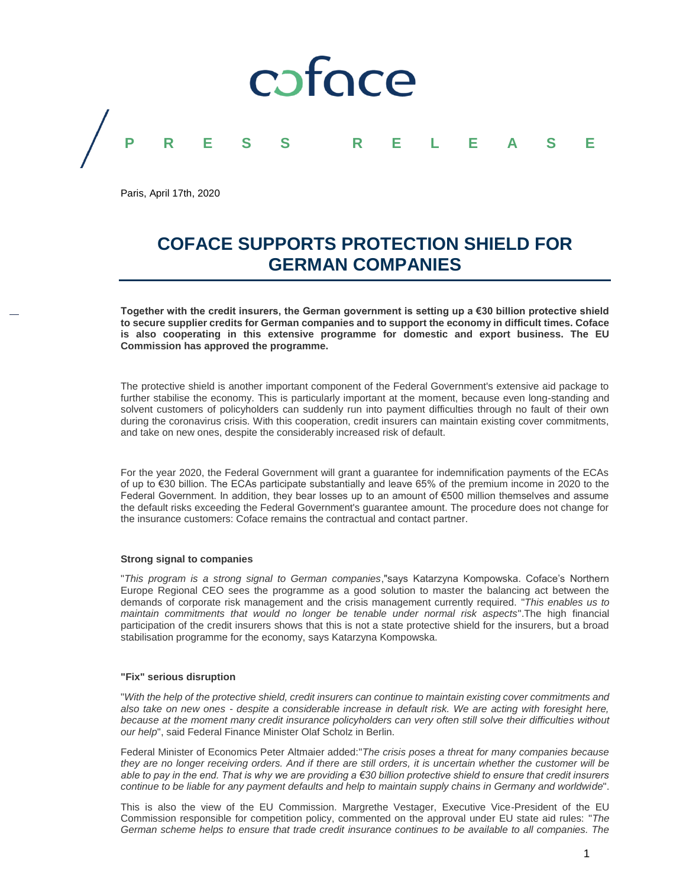

Paris, April 17th, 2020

# **COFACE SUPPORTS PROTECTION SHIELD FOR GERMAN COMPANIES**

**Together with the credit insurers, the German government is setting up a €30 billion protective shield to secure supplier credits for German companies and to support the economy in difficult times. Coface is also cooperating in this extensive programme for domestic and export business. The EU Commission has approved the programme.**

The protective shield is another important component of the Federal Government's extensive aid package to further stabilise the economy. This is particularly important at the moment, because even long-standing and solvent customers of policyholders can suddenly run into payment difficulties through no fault of their own during the coronavirus crisis. With this cooperation, credit insurers can maintain existing cover commitments, and take on new ones, despite the considerably increased risk of default.

For the year 2020, the Federal Government will grant a guarantee for indemnification payments of the ECAs of up to €30 billion. The ECAs participate substantially and leave 65% of the premium income in 2020 to the Federal Government. In addition, they bear losses up to an amount of €500 million themselves and assume the default risks exceeding the Federal Government's guarantee amount. The procedure does not change for the insurance customers: Coface remains the contractual and contact partner.

# **Strong signal to companies**

"*This program is a strong signal to German companies*,"says Katarzyna Kompowska. Coface's Northern Europe Regional CEO sees the programme as a good solution to master the balancing act between the demands of corporate risk management and the crisis management currently required. "*This enables us to maintain commitments that would no longer be tenable under normal risk aspects*".The high financial participation of the credit insurers shows that this is not a state protective shield for the insurers, but a broad stabilisation programme for the economy, says Katarzyna Kompowska.

## **"Fix" serious disruption**

"*With the help of the protective shield, credit insurers can continue to maintain existing cover commitments and also take on new ones - despite a considerable increase in default risk. We are acting with foresight here,*  because at the moment many credit insurance policyholders can very often still solve their difficulties without *our help*", said Federal Finance Minister Olaf Scholz in Berlin.

Federal Minister of Economics Peter Altmaier added:"*The crisis poses a threat for many companies because they are no longer receiving orders. And if there are still orders, it is uncertain whether the customer will be able to pay in the end. That is why we are providing a €30 billion protective shield to ensure that credit insurers continue to be liable for any payment defaults and help to maintain supply chains in Germany and worldwide*".

This is also the view of the EU Commission. Margrethe Vestager, Executive Vice-President of the EU Commission responsible for competition policy, commented on the approval under EU state aid rules: "*The German scheme helps to ensure that trade credit insurance continues to be available to all companies. The*